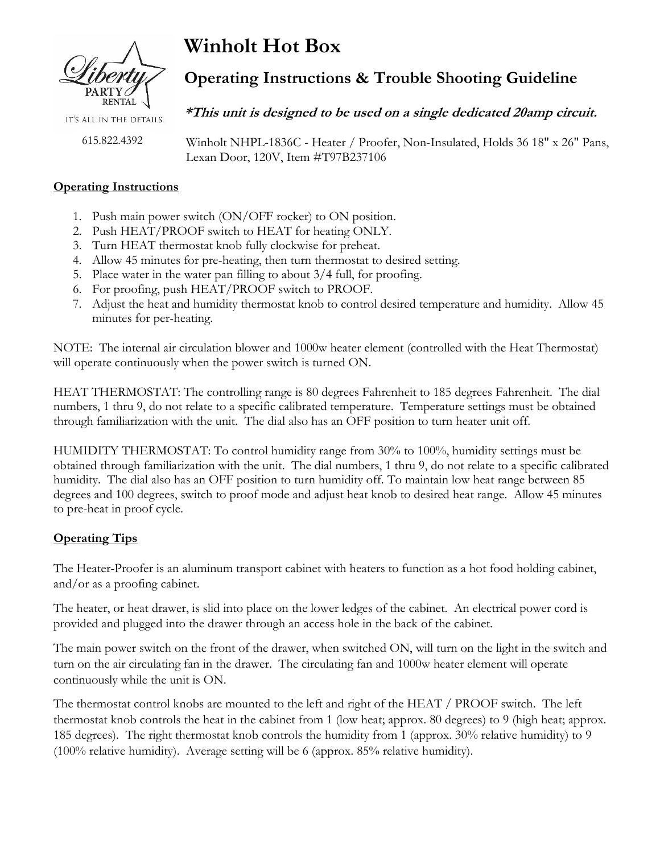

IT'S ALL IN THE DETAILS.

615.822.4392

**Winholt Hot Box**

# **Operating Instructions & Trouble Shooting Guideline**

## **\*This unit is designed to be used on a single dedicated 20amp circuit.**

 Winholt NHPL-1836C - Heater / Proofer, Non-Insulated, Holds 36 18" x 26" Pans, Lexan Door, 120V, Item #T97B237106

#### **Operating Instructions**

- 1. Push main power switch (ON/OFF rocker) to ON position.
- 2. Push HEAT/PROOF switch to HEAT for heating ONLY.
- 3. Turn HEAT thermostat knob fully clockwise for preheat.
- 4. Allow 45 minutes for pre-heating, then turn thermostat to desired setting.
- 5. Place water in the water pan filling to about 3/4 full, for proofing.
- 6. For proofing, push HEAT/PROOF switch to PROOF.
- 7. Adjust the heat and humidity thermostat knob to control desired temperature and humidity. Allow 45 minutes for per-heating.

NOTE: The internal air circulation blower and 1000w heater element (controlled with the Heat Thermostat) will operate continuously when the power switch is turned ON.

HEAT THERMOSTAT: The controlling range is 80 degrees Fahrenheit to 185 degrees Fahrenheit. The dial numbers, 1 thru 9, do not relate to a specific calibrated temperature. Temperature settings must be obtained through familiarization with the unit. The dial also has an OFF position to turn heater unit off.

HUMIDITY THERMOSTAT: To control humidity range from 30% to 100%, humidity settings must be obtained through familiarization with the unit. The dial numbers, 1 thru 9, do not relate to a specific calibrated humidity. The dial also has an OFF position to turn humidity off. To maintain low heat range between 85 degrees and 100 degrees, switch to proof mode and adjust heat knob to desired heat range. Allow 45 minutes to pre-heat in proof cycle.

## **Operating Tips**

The Heater-Proofer is an aluminum transport cabinet with heaters to function as a hot food holding cabinet, and/or as a proofing cabinet.

The heater, or heat drawer, is slid into place on the lower ledges of the cabinet. An electrical power cord is provided and plugged into the drawer through an access hole in the back of the cabinet.

The main power switch on the front of the drawer, when switched ON, will turn on the light in the switch and turn on the air circulating fan in the drawer. The circulating fan and 1000w heater element will operate continuously while the unit is ON.

The thermostat control knobs are mounted to the left and right of the HEAT / PROOF switch. The left thermostat knob controls the heat in the cabinet from 1 (low heat; approx. 80 degrees) to 9 (high heat; approx. 185 degrees). The right thermostat knob controls the humidity from 1 (approx. 30% relative humidity) to 9 (100% relative humidity). Average setting will be 6 (approx. 85% relative humidity).